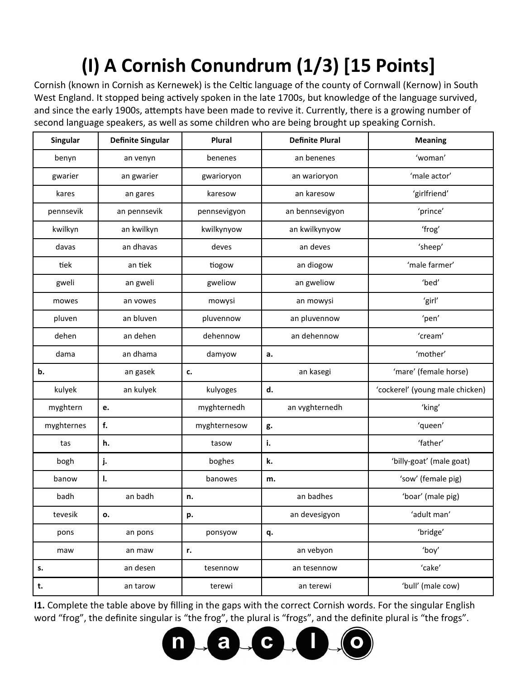## **(I) A Cornish Conundrum (1/3) [15 Points]**

Cornish (known in Cornish as Kernewek) is the Celtic language of the county of Cornwall (Kernow) in South West England. It stopped being actively spoken in the late 1700s, but knowledge of the language survived, and since the early 1900s, attempts have been made to revive it. Currently, there is a growing number of second language speakers, as well as some children who are being brought up speaking Cornish.

| <b>Singular</b> | <b>Definite Singular</b> | Plural       | <b>Definite Plural</b><br><b>Meaning</b> |                                 |  |
|-----------------|--------------------------|--------------|------------------------------------------|---------------------------------|--|
| benyn           | an venyn                 | benenes      | an benenes                               | 'woman'                         |  |
| gwarier         | an gwarier               | gwarioryon   | an warioryon                             | 'male actor'                    |  |
| kares           | an gares                 | karesow      | an karesow                               | 'girlfriend'                    |  |
| pennsevik       | an pennsevik             | pennsevigyon | an bennsevigyon                          | 'prince'                        |  |
| kwilkyn         | an kwilkyn               | kwilkynyow   | an kwilkynyow                            | 'frog'                          |  |
| davas           | an dhavas                | deves        | an deves                                 | 'sheep'                         |  |
| tiek            | an tiek                  | tiogow       | 'male farmer'<br>an diogow               |                                 |  |
| gweli           | an gweli                 | gweliow      | an gweliow                               | 'bed'                           |  |
| mowes           | an vowes                 | mowysi       | an mowysi                                | 'girl'                          |  |
| pluven          | an bluven                | pluvennow    | an pluvennow                             | 'pen'                           |  |
| dehen           | an dehen                 | dehennow     | an dehennow                              | 'cream'                         |  |
| dama            | an dhama                 | damyow       | а.                                       | 'mother'                        |  |
| b.              | an gasek                 | c.           | an kasegi                                | 'mare' (female horse)           |  |
| kulyek          | an kulyek                | kulyoges     | d.                                       | 'cockerel' (young male chicken) |  |
| myghtern        | e.                       | myghternedh  | an vyghternedh<br>'king'                 |                                 |  |
| myghternes      | f.                       | myghternesow | 'queen'<br>g.                            |                                 |  |
| tas             | h.                       | tasow        | i.<br>'father'                           |                                 |  |
| bogh            | j.                       | boghes       | k.<br>'billy-goat' (male goat)           |                                 |  |
| banow           | I.                       | banowes      | 'sow' (female pig)<br>m.                 |                                 |  |
| badh            | an badh                  | n.           | an badhes                                | 'boar' (male pig)               |  |
| tevesik         | о.                       | p.           | an devesigyon                            | 'adult man'                     |  |
| pons            | an pons                  | ponsyow      | q.                                       | 'bridge'                        |  |
| maw             | an maw                   | r.           | 'boy'<br>an vebyon                       |                                 |  |
| s.              | an desen                 | tesennow     | an tesennow                              | 'cake'                          |  |
| t.              | an tarow                 | terewi       | an terewi                                | 'bull' (male cow)               |  |

**I1.** Complete the table above by filling in the gaps with the correct Cornish words. For the singular English word "frog", the definite singular is "the frog", the plural is "frogs", and the definite plural is "the frogs".

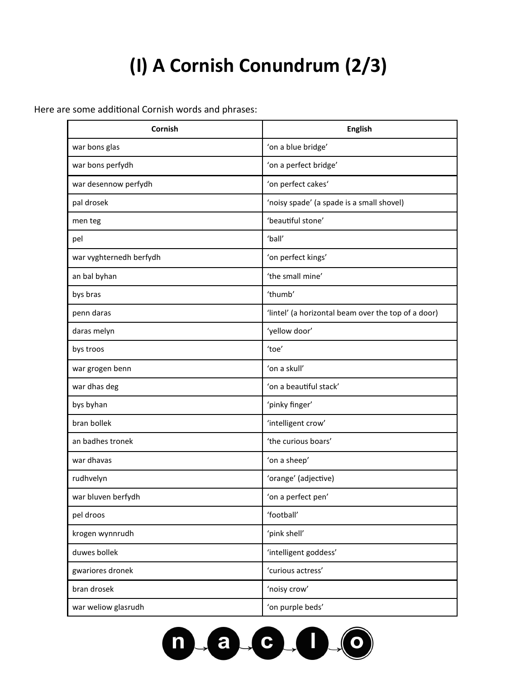## **(I) A Cornish Conundrum (2/3)**

Here are some additional Cornish words and phrases:

| Cornish                 | <b>English</b>                                      |  |  |
|-------------------------|-----------------------------------------------------|--|--|
| war bons glas           | 'on a blue bridge'                                  |  |  |
| war bons perfydh        | 'on a perfect bridge'                               |  |  |
| war desennow perfydh    | 'on perfect cakes'                                  |  |  |
| pal drosek              | 'noisy spade' (a spade is a small shovel)           |  |  |
| men teg                 | 'beautiful stone'                                   |  |  |
| pel                     | 'ball'                                              |  |  |
| war vyghternedh berfydh | 'on perfect kings'                                  |  |  |
| an bal byhan            | 'the small mine'                                    |  |  |
| bys bras                | 'thumb'                                             |  |  |
| penn daras              | 'lintel' (a horizontal beam over the top of a door) |  |  |
| daras melyn             | 'yellow door'                                       |  |  |
| bys troos               | 'toe'                                               |  |  |
| war grogen benn         | 'on a skull'                                        |  |  |
| war dhas deg            | 'on a beautiful stack'                              |  |  |
| bys byhan               | 'pinky finger'                                      |  |  |
| bran bollek             | 'intelligent crow'                                  |  |  |
| an badhes tronek        | 'the curious boars'                                 |  |  |
| war dhavas              | 'on a sheep'                                        |  |  |
| rudhvelyn               | 'orange' (adjective)                                |  |  |
| war bluven berfydh      | 'on a perfect pen'                                  |  |  |
| pel droos               | 'football'                                          |  |  |
| krogen wynnrudh         | 'pink shell'                                        |  |  |
| duwes bollek            | 'intelligent goddess'                               |  |  |
| gwariores dronek        | 'curious actress'                                   |  |  |
| bran drosek             | 'noisy crow'                                        |  |  |
| war weliow glasrudh     | 'on purple beds'                                    |  |  |